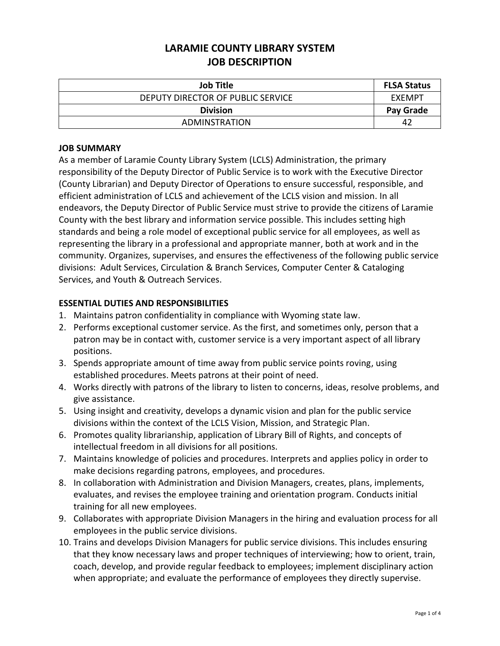| <b>Job Title</b>                  | <b>FLSA Status</b> |
|-----------------------------------|--------------------|
| DEPUTY DIRECTOR OF PUBLIC SERVICE | EXEMPT             |
| <b>Division</b>                   | Pay Grade          |
| ADMINSTRATION                     | 42                 |

## **JOB SUMMARY**

As a member of Laramie County Library System (LCLS) Administration, the primary responsibility of the Deputy Director of Public Service is to work with the Executive Director (County Librarian) and Deputy Director of Operations to ensure successful, responsible, and efficient administration of LCLS and achievement of the LCLS vision and mission. In all endeavors, the Deputy Director of Public Service must strive to provide the citizens of Laramie County with the best library and information service possible. This includes setting high standards and being a role model of exceptional public service for all employees, as well as representing the library in a professional and appropriate manner, both at work and in the community. Organizes, supervises, and ensures the effectiveness of the following public service divisions: Adult Services, Circulation & Branch Services, Computer Center & Cataloging Services, and Youth & Outreach Services.

## **ESSENTIAL DUTIES AND RESPONSIBILITIES**

- 1. Maintains patron confidentiality in compliance with Wyoming state law.
- 2. Performs exceptional customer service. As the first, and sometimes only, person that a patron may be in contact with, customer service is a very important aspect of all library positions.
- 3. Spends appropriate amount of time away from public service points roving, using established procedures. Meets patrons at their point of need.
- 4. Works directly with patrons of the library to listen to concerns, ideas, resolve problems, and give assistance.
- 5. Using insight and creativity, develops a dynamic vision and plan for the public service divisions within the context of the LCLS Vision, Mission, and Strategic Plan.
- 6. Promotes quality librarianship, application of Library Bill of Rights, and concepts of intellectual freedom in all divisions for all positions.
- 7. Maintains knowledge of policies and procedures. Interprets and applies policy in order to make decisions regarding patrons, employees, and procedures.
- 8. In collaboration with Administration and Division Managers, creates, plans, implements, evaluates, and revises the employee training and orientation program. Conducts initial training for all new employees.
- 9. Collaborates with appropriate Division Managers in the hiring and evaluation process for all employees in the public service divisions.
- 10. Trains and develops Division Managers for public service divisions. This includes ensuring that they know necessary laws and proper techniques of interviewing; how to orient, train, coach, develop, and provide regular feedback to employees; implement disciplinary action when appropriate; and evaluate the performance of employees they directly supervise.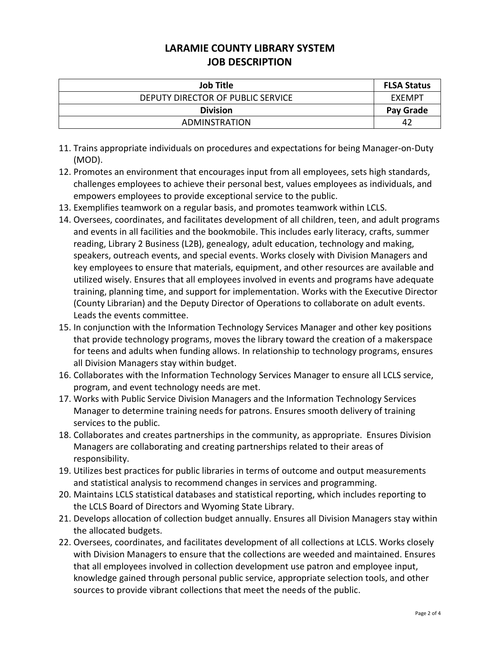| <b>Job Title</b>                  | <b>FLSA Status</b> |
|-----------------------------------|--------------------|
| DEPUTY DIRECTOR OF PUBLIC SERVICE | EXEMPT             |
| <b>Division</b>                   | Pay Grade          |
| ADMINSTRATION                     | -42                |

- 11. Trains appropriate individuals on procedures and expectations for being Manager-on-Duty (MOD).
- 12. Promotes an environment that encourages input from all employees, sets high standards, challenges employees to achieve their personal best, values employees as individuals, and empowers employees to provide exceptional service to the public.
- 13. Exemplifies teamwork on a regular basis, and promotes teamwork within LCLS.
- 14. Oversees, coordinates, and facilitates development of all children, teen, and adult programs and events in all facilities and the bookmobile. This includes early literacy, crafts, summer reading, Library 2 Business (L2B), genealogy, adult education, technology and making, speakers, outreach events, and special events. Works closely with Division Managers and key employees to ensure that materials, equipment, and other resources are available and utilized wisely. Ensures that all employees involved in events and programs have adequate training, planning time, and support for implementation. Works with the Executive Director (County Librarian) and the Deputy Director of Operations to collaborate on adult events. Leads the events committee.
- 15. In conjunction with the Information Technology Services Manager and other key positions that provide technology programs, moves the library toward the creation of a makerspace for teens and adults when funding allows. In relationship to technology programs, ensures all Division Managers stay within budget.
- 16. Collaborates with the Information Technology Services Manager to ensure all LCLS service, program, and event technology needs are met.
- 17. Works with Public Service Division Managers and the Information Technology Services Manager to determine training needs for patrons. Ensures smooth delivery of training services to the public.
- 18. Collaborates and creates partnerships in the community, as appropriate. Ensures Division Managers are collaborating and creating partnerships related to their areas of responsibility.
- 19. Utilizes best practices for public libraries in terms of outcome and output measurements and statistical analysis to recommend changes in services and programming.
- 20. Maintains LCLS statistical databases and statistical reporting, which includes reporting to the LCLS Board of Directors and Wyoming State Library.
- 21. Develops allocation of collection budget annually. Ensures all Division Managers stay within the allocated budgets.
- 22. Oversees, coordinates, and facilitates development of all collections at LCLS. Works closely with Division Managers to ensure that the collections are weeded and maintained. Ensures that all employees involved in collection development use patron and employee input, knowledge gained through personal public service, appropriate selection tools, and other sources to provide vibrant collections that meet the needs of the public.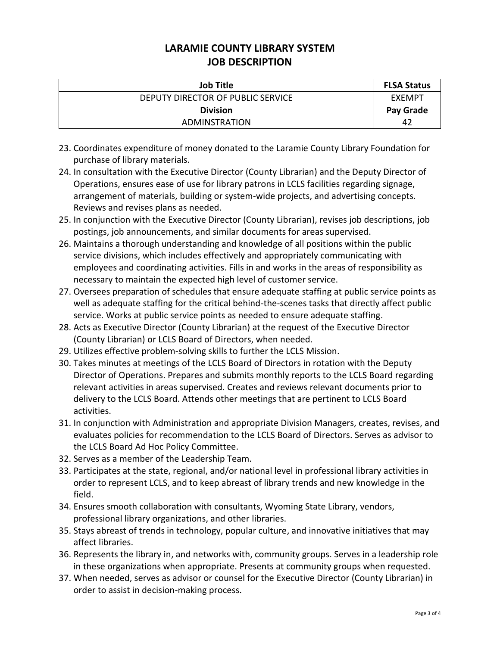| <b>Job Title</b>                  | <b>FLSA Status</b> |
|-----------------------------------|--------------------|
| DEPUTY DIRECTOR OF PUBLIC SERVICE | EXEMPT             |
| <b>Division</b>                   | Pay Grade          |
| ADMINSTRATION                     | 42                 |

- 23. Coordinates expenditure of money donated to the Laramie County Library Foundation for purchase of library materials.
- 24. In consultation with the Executive Director (County Librarian) and the Deputy Director of Operations, ensures ease of use for library patrons in LCLS facilities regarding signage, arrangement of materials, building or system-wide projects, and advertising concepts. Reviews and revises plans as needed.
- 25. In conjunction with the Executive Director (County Librarian), revises job descriptions, job postings, job announcements, and similar documents for areas supervised.
- 26. Maintains a thorough understanding and knowledge of all positions within the public service divisions, which includes effectively and appropriately communicating with employees and coordinating activities. Fills in and works in the areas of responsibility as necessary to maintain the expected high level of customer service.
- 27. Oversees preparation of schedules that ensure adequate staffing at public service points as well as adequate staffing for the critical behind-the-scenes tasks that directly affect public service. Works at public service points as needed to ensure adequate staffing.
- 28. Acts as Executive Director (County Librarian) at the request of the Executive Director (County Librarian) or LCLS Board of Directors, when needed.
- 29. Utilizes effective problem-solving skills to further the LCLS Mission.
- 30. Takes minutes at meetings of the LCLS Board of Directors in rotation with the Deputy Director of Operations. Prepares and submits monthly reports to the LCLS Board regarding relevant activities in areas supervised. Creates and reviews relevant documents prior to delivery to the LCLS Board. Attends other meetings that are pertinent to LCLS Board activities.
- 31. In conjunction with Administration and appropriate Division Managers, creates, revises, and evaluates policies for recommendation to the LCLS Board of Directors. Serves as advisor to the LCLS Board Ad Hoc Policy Committee.
- 32. Serves as a member of the Leadership Team.
- 33. Participates at the state, regional, and/or national level in professional library activities in order to represent LCLS, and to keep abreast of library trends and new knowledge in the field.
- 34. Ensures smooth collaboration with consultants, Wyoming State Library, vendors, professional library organizations, and other libraries.
- 35. Stays abreast of trends in technology, popular culture, and innovative initiatives that may affect libraries.
- 36. Represents the library in, and networks with, community groups. Serves in a leadership role in these organizations when appropriate. Presents at community groups when requested.
- 37. When needed, serves as advisor or counsel for the Executive Director (County Librarian) in order to assist in decision-making process.